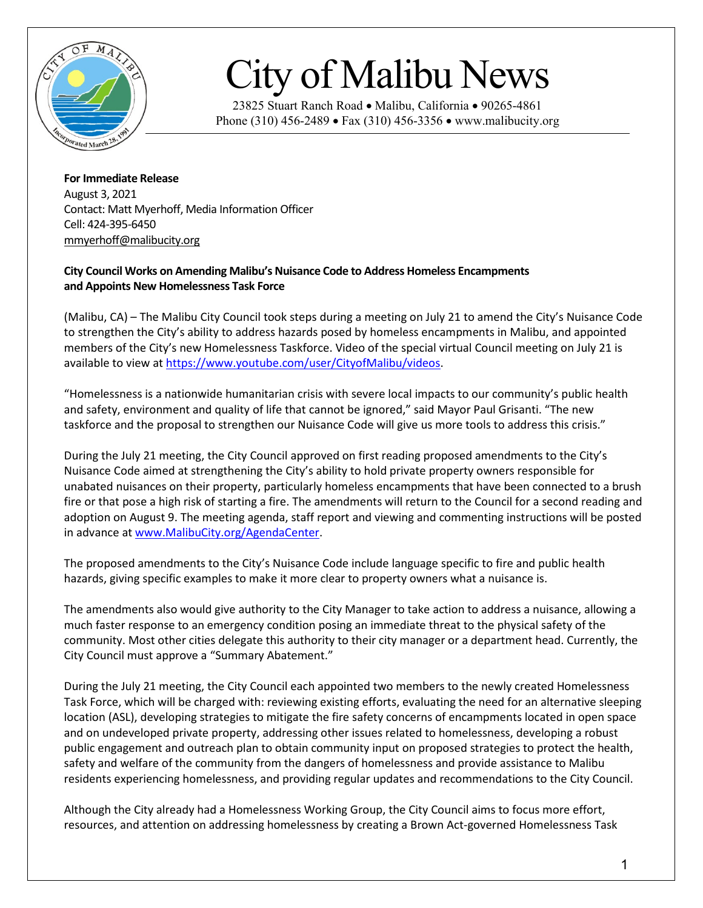

## City of Malibu News

23825 Stuart Ranch Road • Malibu, California • 90265-4861 Phone (310) 456-2489 • Fax (310) 456-3356 • www.malibucity.org

**For Immediate Release** August 3, 2021 Contact: Matt Myerhoff, Media Information Officer Cell: 424-395-6450 [mmyerhoff@malibucity.org](mailto:mmyerhoff@malibucity.org)

## **City Council Works on Amending Malibu's Nuisance Code to Address Homeless Encampments and Appoints New Homelessness Task Force**

(Malibu, CA) – The Malibu City Council took steps during a meeting on July 21 to amend the City's Nuisance Code to strengthen the City's ability to address hazards posed by homeless encampments in Malibu, and appointed members of the City's new Homelessness Taskforce. Video of the special virtual Council meeting on July 21 is available to view a[t https://www.youtube.com/user/CityofMalibu/videos.](https://www.youtube.com/user/CityofMalibu/videos)

"Homelessness is a nationwide humanitarian crisis with severe local impacts to our community's public health and safety, environment and quality of life that cannot be ignored," said Mayor Paul Grisanti. "The new taskforce and the proposal to strengthen our Nuisance Code will give us more tools to address this crisis."

During the July 21 meeting, the City Council approved on first reading proposed amendments to the City's Nuisance Code aimed at strengthening the City's ability to hold private property owners responsible for unabated nuisances on their property, particularly homeless encampments that have been connected to a brush fire or that pose a high risk of starting a fire. The amendments will return to the Council for a second reading and adoption on August 9. The meeting agenda, staff report and viewing and commenting instructions will be posted in advance a[t www.MalibuCity.org/AgendaCenter.](http://www.malibucity.org/AgendaCenter)

The proposed amendments to the City's Nuisance Code include language specific to fire and public health hazards, giving specific examples to make it more clear to property owners what a nuisance is.

The amendments also would give authority to the City Manager to take action to address a nuisance, allowing a much faster response to an emergency condition posing an immediate threat to the physical safety of the community. Most other cities delegate this authority to their city manager or a department head. Currently, the City Council must approve a "Summary Abatement."

During the July 21 meeting, the City Council each appointed two members to the newly created Homelessness Task Force, which will be charged with: reviewing existing efforts, evaluating the need for an alternative sleeping location (ASL), developing strategies to mitigate the fire safety concerns of encampments located in open space and on undeveloped private property, addressing other issues related to homelessness, developing a robust public engagement and outreach plan to obtain community input on proposed strategies to protect the health, safety and welfare of the community from the dangers of homelessness and provide assistance to Malibu residents experiencing homelessness, and providing regular updates and recommendations to the City Council.

Although the City already had a Homelessness Working Group, the City Council aims to focus more effort, resources, and attention on addressing homelessness by creating a Brown Act-governed Homelessness Task